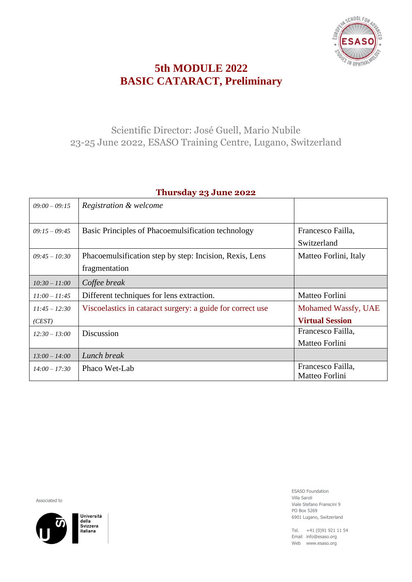

# **5th MODULE 2022 BASIC CATARACT, Preliminary**

### Scientific Director: José Guell, Mario Nubile 23-25 June 2022, ESASO Training Centre, Lugano, Switzerland

| $09:00 - 09:15$ | Registration & welcome                                                   |                                     |
|-----------------|--------------------------------------------------------------------------|-------------------------------------|
| $09:15 - 09:45$ | Basic Principles of Phacoemulsification technology                       | Francesco Failla,<br>Switzerland    |
| $09:45 - 10:30$ | Phacoemulsification step by step: Incision, Rexis, Lens<br>fragmentation | Matteo Forlini, Italy               |
| $10:30 - 11:00$ | Coffee break                                                             |                                     |
| $11:00 - 11:45$ | Different techniques for lens extraction.                                | Matteo Forlini                      |
| $11:45 - 12:30$ | Viscoelastics in cataract surgery: a guide for correct use               | Mohamed Wassfy, UAE                 |
| (CEST)          |                                                                          | <b>Virtual Session</b>              |
| $12:30 - 13:00$ | Discussion                                                               | Francesco Failla,                   |
|                 |                                                                          | Matteo Forlini                      |
| $13:00 - 14:00$ | Lunch break                                                              |                                     |
| $14:00 - 17:30$ | Phaco Wet-Lab                                                            | Francesco Failla,<br>Matteo Forlini |

#### **Thursday 23 June 2022**

Associated to



Università della uena<br>Svizzera italiana

ESASO Foundation Villa Saroli Viale Stefano Franscini 9 PO Box 5269 6901 Lugano, Switzerland

Tel. +41 (0)91 921 11 54 Email info@esaso.org Web www.esaso.org